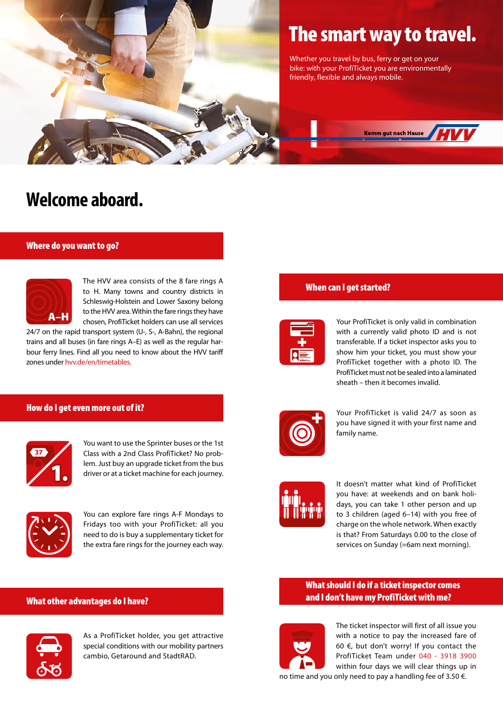

# The smart way to travel.

Whether you travel by bus, ferry or get on your bike: with your ProfiTicket you are environmentally friendly, flexible and always mobile.



# **Welcome aboard.**

# Where do you want to go?



The HVV area consists of the 8 fare rings A to H. Many towns and country districts in Schleswig-Holstein and Lower Saxony belong to the HVV area. Within the fare rings they have chosen, ProfiTicket holders can use all services

24/7 on the rapid transport system (U-, S-, A-Bahn), the regional trains and all buses (in fare rings A–E) as well as the regular harbour ferry lines. Find all you need to know about the HVV tariff zones unde[r hvv.de/en/timetables.](http://hvv.de/en/timetables/line-route-networks-plans/overview)

# How do I get even more out of it?



You want to use the Sprinter buses or the 1st Class with a 2nd Class ProfiTicket? No problem. Just buy an upgrade ticket from the bus driver or at a ticket machine for each journey.



You can explore fare rings A-F Mondays to Fridays too with your ProfiTicket: all you need to do is buy a supplementary ticket for the extra fare rings for the journey each way.

## What other advantages do I have?



As a ProfiTicket holder, you get attractive special conditions with our mobility partners cambio, Getaround and StadtRAD.

# When can I get started?



Your ProfiTicket is only valid in combination with a currently valid photo ID and is not transferable. If a ticket inspector asks you to show him your ticket, you must show your ProfiTicket together with a photo ID. The ProfiTicket must not be sealed into a laminated sheath – then it becomes invalid.



Your ProfiTicket is valid 24/7 as soon as you have signed it with your first name and family name.



It doesn't matter what kind of ProfiTicket you have: at weekends and on bank holidays, you can take 1 other person and up to 3 children (aged 6–14) with you free of charge on the whole network. When exactly is that? From Saturdays 0.00 to the close of services on Sunday (=6am next morning).

# What should I do if a ticket inspector comes and I don't have my ProfiTicket with me?



The ticket inspector will first of all issue you with a notice to pay the increased fare of 60  $\epsilon$ , but don't worry! If you contact the ProfiTicket Team under 040 - 3918 3900 within four days we will clear things up in no time and you only need to pay a handling fee of 3.50 €.